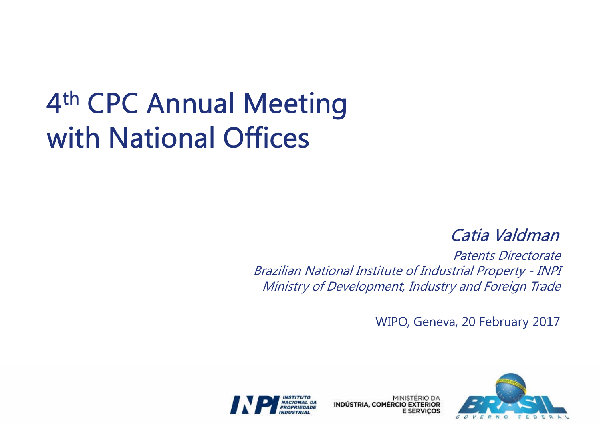# 4<sup>th</sup> CPC Annual Meeting with National Offices

Catia Valdman

 Patents Directorate Brazilian National Institute of Industrial Property - INPIMinistry of Development, Industry and Foreign Trade

WIPO, Geneva, 20 February 2017



MINISTÉRIO DA **INDÚSTRIA, COMÉRCIO EXTERIOR** 

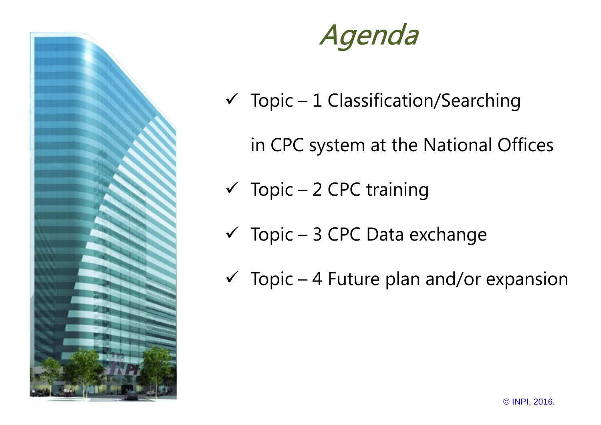

### Agenda

- $\checkmark$  Topic 1 Classification/Searching
	- in CPC system at the National Offices
- $\checkmark$  Topic 2 CPC training
- $\checkmark$  Topic 3 CPC Data exchange
- $\checkmark$  Topic 4 Future plan and/or expansion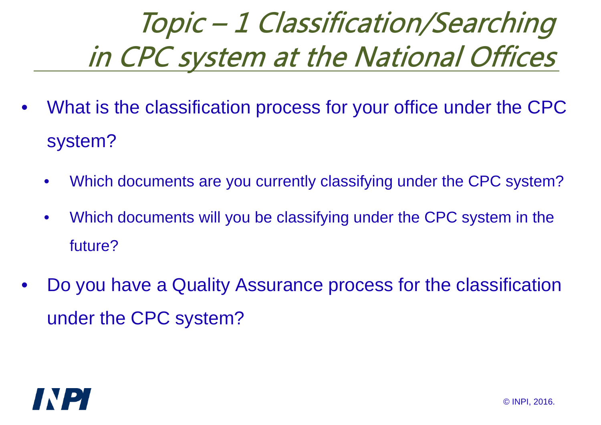- $\bullet$  What is the classification process for your office under the CPC system?
	- •Which documents are you currently classifying under the CPC system?
	- • Which documents will you be classifying under the CPC system in the future?
- • Do you have a Quality Assurance process for the classification under the CPC system?

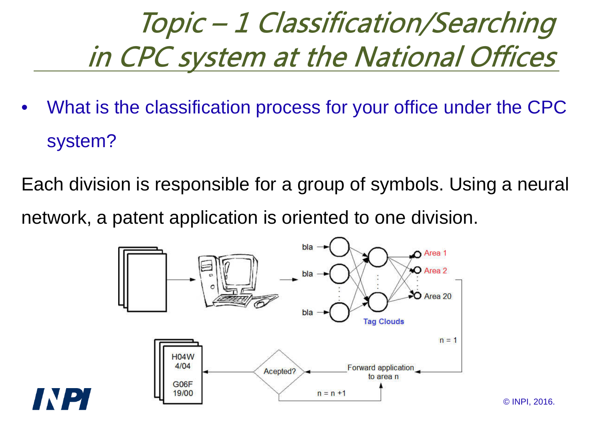$\bullet$  What is the classification process for your office under the CPC system?

Each division is responsible for a group of symbols. Using a neural network, a patent application is oriented to one division.



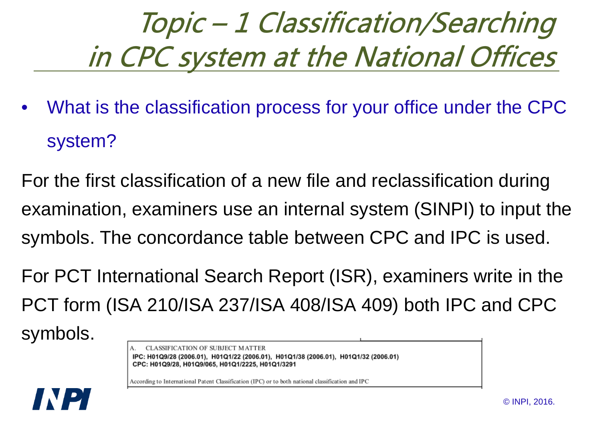$\bullet$  What is the classification process for your office under the CPC system?

For the first classification of a new file and reclassification during examination, examiners use an internal system (SINPI) to input the symbols. The concordance table between CPC and IPC is used.

For PCT International Search Report (ISR), examiners write in the PCT form (ISA 210/ISA 237/ISA 408/ISA 409) both IPC and CPC

symbols.

CLASSIFICATION OF SUBJECT MATTER IPC: H01Q9/28 (2006.01), H01Q1/22 (2006.01), H01Q1/38 (2006.01), H01Q1/32 (2006.01) CPC: H01Q9/28, H01Q9/065, H01Q1/2225, H01Q1/3291

According to International Patent Classification (IPC) or to both national classification and IPC

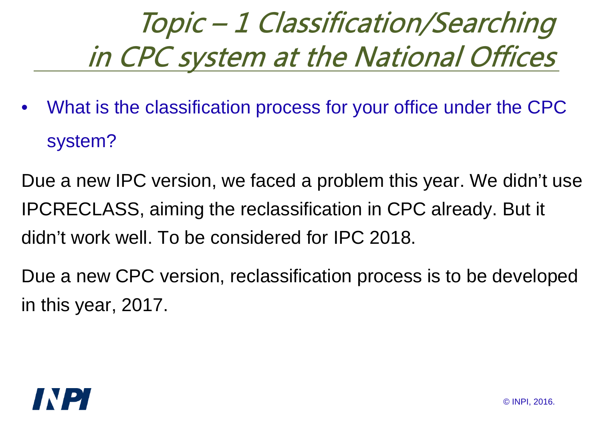$\bullet$  What is the classification process for your office under the CPC system?

Due a new IPC version, we faced a problem this year. We didn't use IPCRECLASS, aiming the reclassification in CPC already. But it didn't work well. To be considered for IPC 2018.

Due a new CPC version, reclassification process is to be developed in this year, 2017.

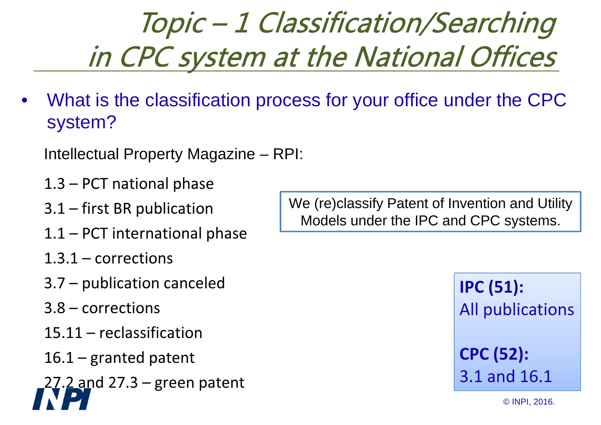$\bullet$  What is the classification process for your office under the CPC system?

Intellectual Property Magazine – RPI:

- 1.3 PCT national phase
- 3.1 first BR publication
- 1.1 PCT international phase
- 1.3.1 corrections
- 3.7 publication canceled
- 3.8 corrections
- 15.11 reclassification
- 16.1 granted patent

27.2 and 27.3 – green patent

We (re)classify Patent of Invention and Utility Models under the IPC and CPC systems.

> IPC (51):All publicationsCPC (52):

3.1 and 16.1

© INPI, 2016.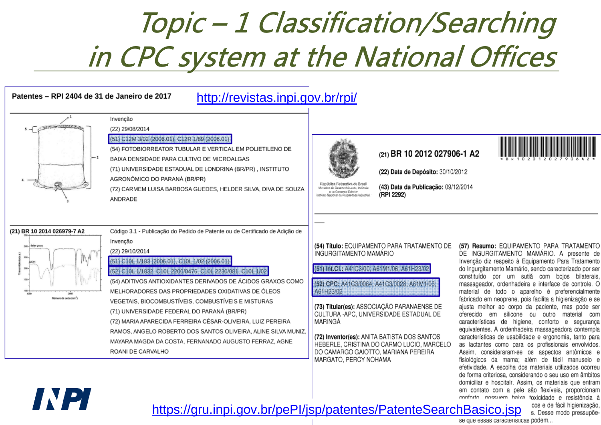

INPI

se que essas caracteristicas podem...

#### conforto nossuem haixa toxicidade e resistência à https://gru.inpi.gov.br/pePI/jsp/patentes/PatenteSearchBasico.jsp salde fácil higienização,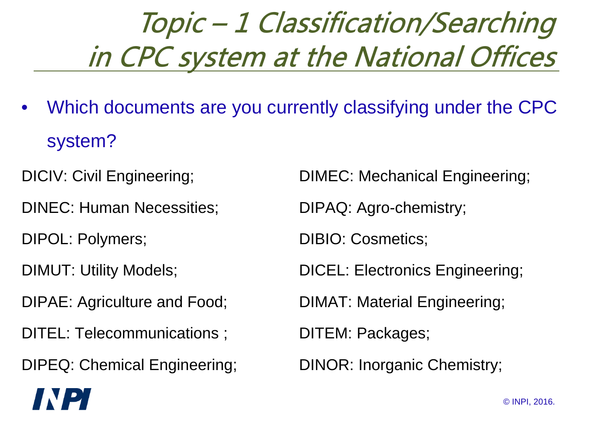- $\bullet$  Which documents are you currently classifying under the CPC system?
- 
- DINEC: Human Necessities; DIPAQ: Agro-chemistry;
- 

IN DI

- 
- 
- DITEL: Telecommunications ; DITEM: Packages;
- DIPEQ: Chemical Engineering; DINOR: Inorganic Chemistry;

DICIV: Civil Engineering; DIMEC: Mechanical Engineering;

DIPOL: Polymers; DIBIO: Cosmetics;

DIMUT: Utility Models; DICEL: Electronics Engineering;

DIPAE: Agriculture and Food; DIMAT: Material Engineering;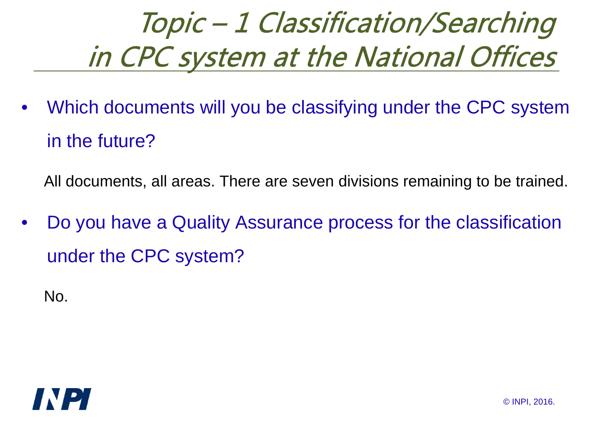$\bullet$  Which documents will you be classifying under the CPC system in the future?

All documents, all areas. There are seven divisions remaining to be trained.

• Do you have a Quality Assurance process for the classification under the CPC system?

No.

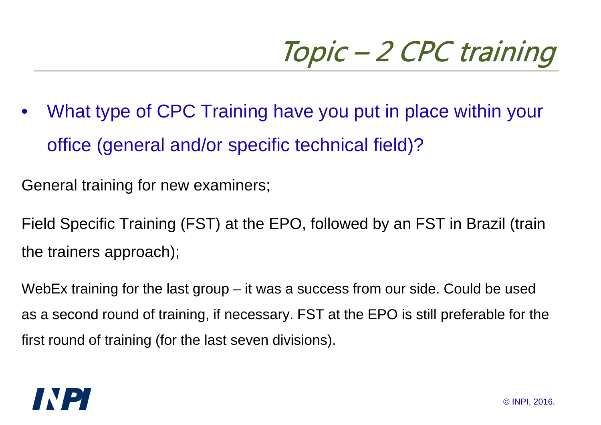• What type of CPC Training have you put in place within youroffice (general and/or specific technical field)?

General training for new examiners;

Field Specific Training (FST) at the EPO, followed by an FST in Brazil (train the trainers approach);

WebEx training for the last group – it was a success from our side. Could be used as a second round of training, if necessary. FST at the EPO is still preferable for the first round of training (for the last seven divisions).

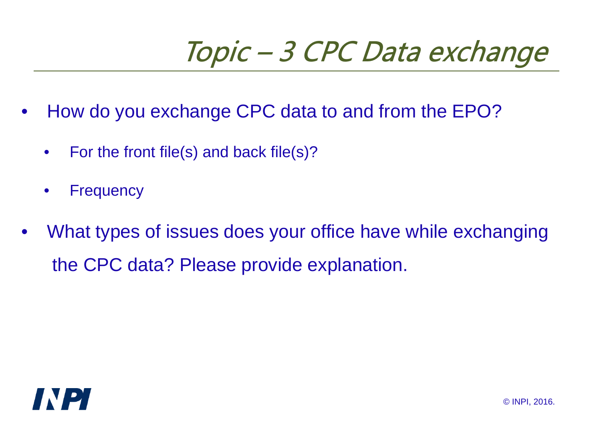## Topic – 3 CPC Data exchange

- • How do you exchange CPC data to and from the EPO?
	- •For the front file(s) and back file(s)?
	- $\bullet$ **Frequency**
- • What types of issues does your office have while exchangingthe CPC data? Please provide explanation.

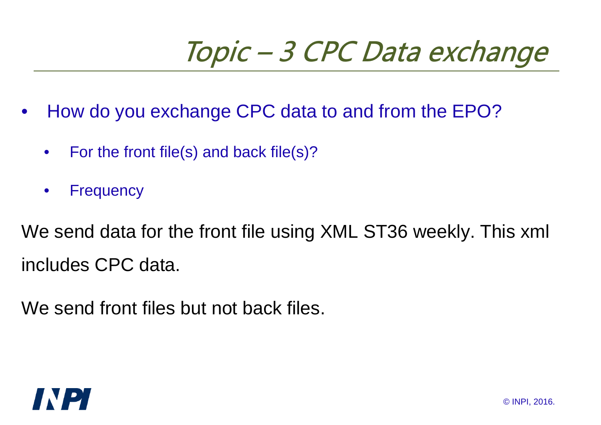### Topic – 3 CPC Data exchange

- • How do you exchange CPC data to and from the EPO?
	- •For the front file(s) and back file(s)?
	- $\bullet$ **Frequency**

We send data for the front file using XML ST36 weekly. This xml includes CPC data.

We send front files but not back files.

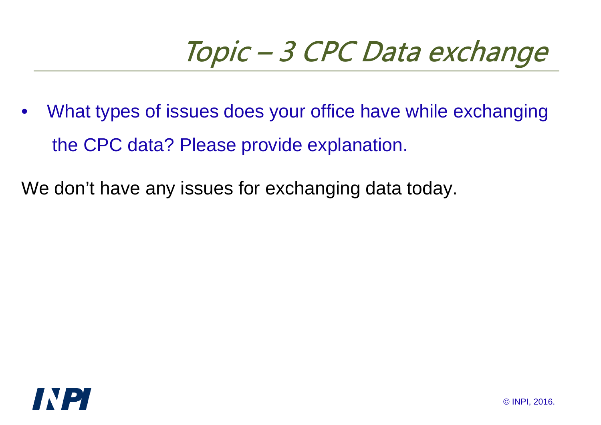### Topic – 3 CPC Data exchange

• What types of issues does your office have while exchangingthe CPC data? Please provide explanation.

We don't have any issues for exchanging data today.

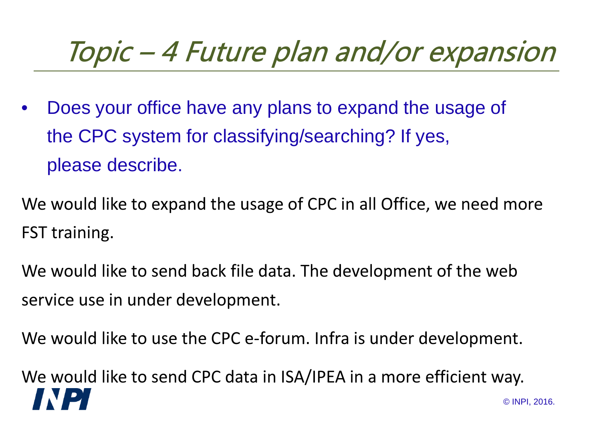### Topic – 4 Future plan and/or expansion

• Does your office have any plans to expand the usage of the CPC system for classifying/searching? If yes, please describe.

We would like to expand the usage of CPC in all Office, we need more FST training.

We would like to send back file data. The development of the web service use in under development.

We would like to use the CPC e-forum. Infra is under development.

We would like to send CPC data in ISA/IPEA in a more efficient way.**D** © INPI, 2016.